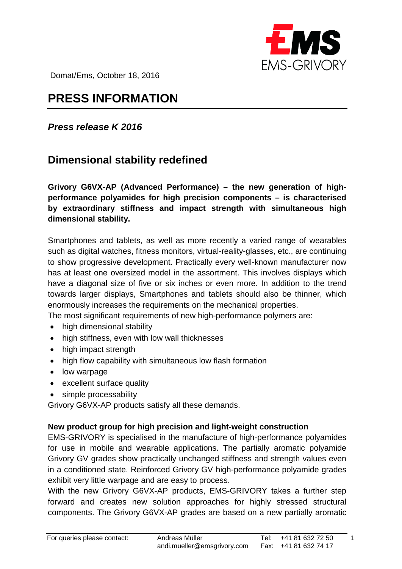

Domat/Ems, October 18, 2016

# **PRESS INFORMATION**

## *Press release K 2016*

# **Dimensional stability redefined**

**Grivory G6VX-AP (Advanced Performance) – the new generation of highperformance polyamides for high precision components – is characterised by extraordinary stiffness and impact strength with simultaneous high dimensional stability.**

Smartphones and tablets, as well as more recently a varied range of wearables such as digital watches, fitness monitors, virtual-reality-glasses, etc., are continuing to show progressive development. Practically every well-known manufacturer now has at least one oversized model in the assortment. This involves displays which have a diagonal size of five or six inches or even more. In addition to the trend towards larger displays, Smartphones and tablets should also be thinner, which enormously increases the requirements on the mechanical properties.

The most significant requirements of new high-performance polymers are:

- high dimensional stability
- high stiffness, even with low wall thicknesses
- high impact strength
- high flow capability with simultaneous low flash formation
- low warpage
- excellent surface quality
- simple processability

Grivory G6VX-AP products satisfy all these demands.

#### **New product group for high precision and light-weight construction**

EMS-GRIVORY is specialised in the manufacture of high-performance polyamides for use in mobile and wearable applications. The partially aromatic polyamide Grivory GV grades show practically unchanged stiffness and strength values even in a conditioned state. Reinforced Grivory GV high-performance polyamide grades exhibit very little warpage and are easy to process.

With the new Grivory G6VX-AP products, EMS-GRIVORY takes a further step forward and creates new solution approaches for highly stressed structural components. The Grivory G6VX-AP grades are based on a new partially aromatic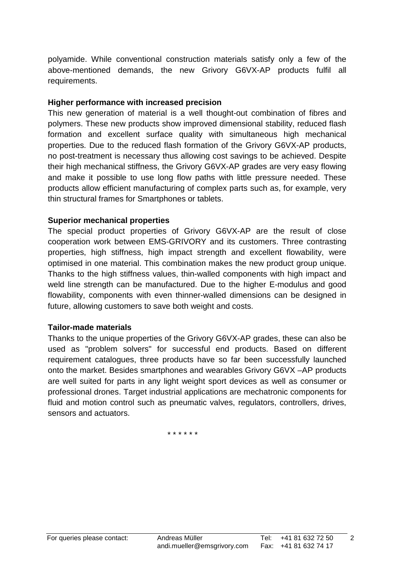polyamide. While conventional construction materials satisfy only a few of the above-mentioned demands, the new Grivory G6VX-AP products fulfil all requirements.

#### **Higher performance with increased precision**

This new generation of material is a well thought-out combination of fibres and polymers. These new products show improved dimensional stability, reduced flash formation and excellent surface quality with simultaneous high mechanical properties. Due to the reduced flash formation of the Grivory G6VX-AP products, no post-treatment is necessary thus allowing cost savings to be achieved. Despite their high mechanical stiffness, the Grivory G6VX-AP grades are very easy flowing and make it possible to use long flow paths with little pressure needed. These products allow efficient manufacturing of complex parts such as, for example, very thin structural frames for Smartphones or tablets.

#### **Superior mechanical properties**

The special product properties of Grivory G6VX-AP are the result of close cooperation work between EMS-GRIVORY and its customers. Three contrasting properties, high stiffness, high impact strength and excellent flowability, were optimised in one material. This combination makes the new product group unique. Thanks to the high stiffness values, thin-walled components with high impact and weld line strength can be manufactured. Due to the higher E-modulus and good flowability, components with even thinner-walled dimensions can be designed in future, allowing customers to save both weight and costs.

#### **Tailor-made materials**

Thanks to the unique properties of the Grivory G6VX-AP grades, these can also be used as "problem solvers" for successful end products. Based on different requirement catalogues, three products have so far been successfully launched onto the market. Besides smartphones and wearables Grivory G6VX –AP products are well suited for parts in any light weight sport devices as well as consumer or professional drones. Target industrial applications are mechatronic components for fluid and motion control such as pneumatic valves, regulators, controllers, drives, sensors and actuators.

\* \* \* \* \* \*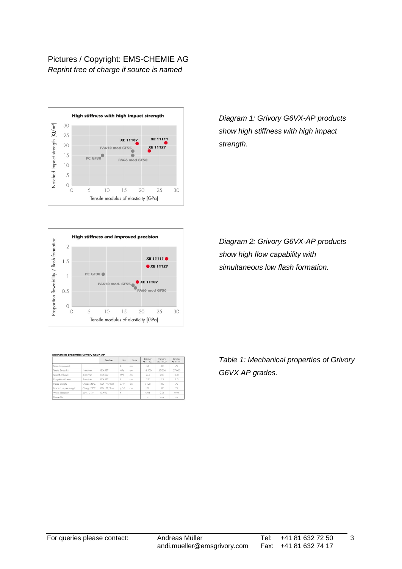#### Pictures / Copyright: EMS-CHEMIE AG *Reprint free of charge if source is named*



*Diagram 1: Grivory G6VX-AP products show high stiffness with high impact strength.* 



| Diagram 2: Grivory G6VX-AP products |
|-------------------------------------|
| show high flow capability with      |
| simultaneous low flash formation.   |

|                         |              | Standard    | Unit              | State | Grivory<br>XE 11107 | Grivory<br>XE 11127 | Grivory<br>XE 11111 |
|-------------------------|--------------|-------------|-------------------|-------|---------------------|---------------------|---------------------|
| Glass-libre content     |              |             | $\frac{9}{26}$    | dry   | 55                  | 60                  | 70                  |
| Tensile Emodulus        | mm/min       | ISO 527     | MPa               | dry   | 18'500              | 22'000              | 27'000              |
| Strength at break       | 5 mm/min     | ISO 527     | MPa               | dry   | 245                 | 250                 | 290                 |
| Elongation at break     | 5 mm/min     | ISO 527     | $\%$              | drv   | 27                  | 2.3                 | 1.5                 |
| Impact strength         | Charpy, 23°C | ISO 179/1eU | kl/m <sup>2</sup> | drv   | >100                | 100                 | 70                  |
| Notched impact strength | Charpy, 23°C | ISO 179/1eA | kl/m <sup>2</sup> | dry   | 21                  | 17                  | 21                  |
| Water absorption        | 23°C. 24hr   | ISO 62      | $\%$              |       | 0.06                | 0.05                | 0.04                |
| Flowability             |              |             |                   |       |                     | +++                 | $+ +$               |

*Table 1: Mechanical properties of Grivory G6VX AP grades.*